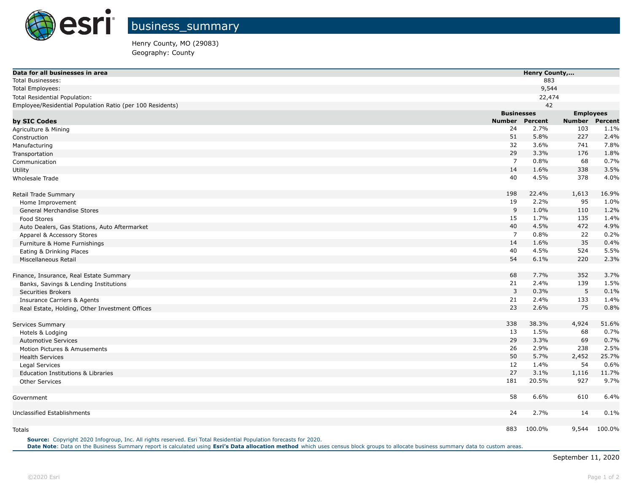

Henry County, MO (29083) Geography: County

| Data for all businesses in area                           |                   | Henry County, |                  |                |  |
|-----------------------------------------------------------|-------------------|---------------|------------------|----------------|--|
| <b>Total Businesses:</b>                                  |                   | 883           |                  |                |  |
| Total Employees:                                          |                   | 9,544         |                  |                |  |
| Total Residential Population:                             |                   | 22,474        |                  |                |  |
| Employee/Residential Population Ratio (per 100 Residents) |                   | 42            |                  |                |  |
|                                                           | <b>Businesses</b> |               | <b>Employees</b> |                |  |
| by SIC Codes                                              | Number            | Percent       | <b>Number</b>    | <b>Percent</b> |  |
| Agriculture & Mining                                      | 24                | 2.7%          | 103              | 1.1%           |  |
| Construction                                              | 51                | 5.8%          | 227              | 2.4%           |  |
| Manufacturing                                             | 32                | 3.6%          | 741              | 7.8%           |  |
| Transportation                                            | 29                | 3.3%          | 176              | 1.8%           |  |
| Communication                                             | $\overline{7}$    | 0.8%          | 68               | 0.7%           |  |
| Utility                                                   | 14                | 1.6%          | 338              | 3.5%           |  |
| Wholesale Trade                                           | 40                | 4.5%          | 378              | 4.0%           |  |
| Retail Trade Summary                                      | 198               | 22.4%         | 1,613            | 16.9%          |  |
| Home Improvement                                          | 19                | 2.2%          | 95               | 1.0%           |  |
| General Merchandise Stores                                | 9                 | 1.0%          | 110              | 1.2%           |  |
| Food Stores                                               | 15                | 1.7%          | 135              | 1.4%           |  |
| Auto Dealers, Gas Stations, Auto Aftermarket              | 40                | 4.5%          | 472              | 4.9%           |  |
| Apparel & Accessory Stores                                | $\overline{7}$    | 0.8%          | 22               | 0.2%           |  |
| Furniture & Home Furnishings                              | 14                | 1.6%          | 35               | 0.4%           |  |
| Eating & Drinking Places                                  | 40                | 4.5%          | 524              | 5.5%           |  |
| Miscellaneous Retail                                      | 54                | 6.1%          | 220              | 2.3%           |  |
| Finance, Insurance, Real Estate Summary                   | 68                | 7.7%          | 352              | 3.7%           |  |
| Banks, Savings & Lending Institutions                     | 21                | 2.4%          | 139              | 1.5%           |  |
| <b>Securities Brokers</b>                                 | 3                 | 0.3%          | 5                | 0.1%           |  |
| <b>Insurance Carriers &amp; Agents</b>                    | 21                | 2.4%          | 133              | 1.4%           |  |
| Real Estate, Holding, Other Investment Offices            | 23                | 2.6%          | 75               | 0.8%           |  |
| Services Summary                                          | 338               | 38.3%         | 4,924            | 51.6%          |  |
| Hotels & Lodging                                          | 13                | 1.5%          | 68               | 0.7%           |  |
| <b>Automotive Services</b>                                | 29                | 3.3%          | 69               | 0.7%           |  |
| Motion Pictures & Amusements                              | 26                | 2.9%          | 238              | 2.5%           |  |
| <b>Health Services</b>                                    | 50                | 5.7%          | 2,452            | 25.7%          |  |
| Legal Services                                            | 12                | 1.4%          | 54               | 0.6%           |  |
| Education Institutions & Libraries                        | 27                | 3.1%          | 1,116            | 11.7%          |  |
| <b>Other Services</b>                                     | 181               | 20.5%         | 927              | 9.7%           |  |
| Government                                                | 58                | 6.6%          | 610              | 6.4%           |  |
| Unclassified Establishments                               | 24                | 2.7%          | 14               | 0.1%           |  |
| <b>Totals</b>                                             | 883               | 100.0%        | 9,544            | 100.0%         |  |

**Source:** Copyright 2020 Infogroup, Inc. All rights reserved. Esri Total Residential Population forecasts for 2020. **Date Note**: Data on the Business Summary report is calculated using **[Esri's Data allocation method](http://doc.arcgis.com/en/esri-demographics/reference/data-allocation-method.htm)** which uses census block groups to allocate business summary data to custom areas.